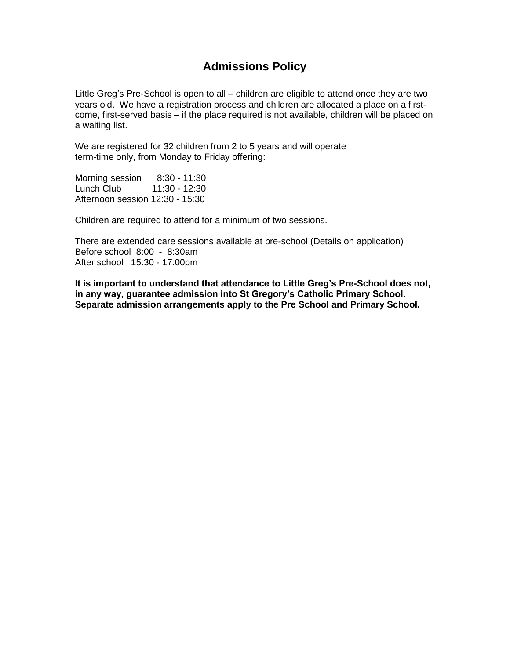## **Admissions Policy**

Little Greg's Pre-School is open to all – children are eligible to attend once they are two years old. We have a registration process and children are allocated a place on a firstcome, first-served basis – if the place required is not available, children will be placed on a waiting list.

We are registered for 32 children from 2 to 5 years and will operate term-time only, from Monday to Friday offering:

Morning session 8:30 - 11:30<br>Lunch Club 11:30 - 12:30 Lunch Club Afternoon session 12:30 - 15:30

Children are required to attend for a minimum of two sessions.

There are extended care sessions available at pre-school (Details on application) Before school 8:00 - 8:30am After school 15:30 - 17:00pm

**It is important to understand that attendance to Little Greg's Pre-School does not, in any way, guarantee admission into St Gregory's Catholic Primary School. Separate admission arrangements apply to the Pre School and Primary School.**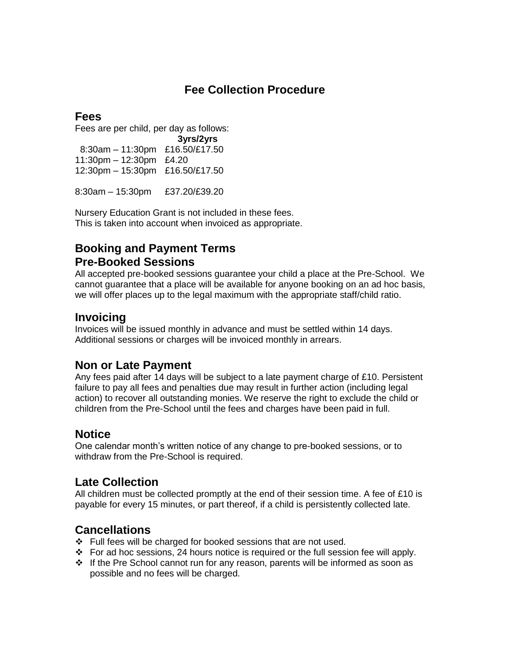# **Fee Collection Procedure**

## **Fees**

Fees are per child, per day as follows:

 **3yrs/2yrs** 8:30am – 11:30pm £16.50/£17.50 11:30pm – 12:30pm £4.20 12:30pm – 15:30pm £16.50/£17.50

8:30am – 15:30pm £37.20/£39.20

Nursery Education Grant is not included in these fees. This is taken into account when invoiced as appropriate.

## **Booking and Payment Terms Pre-Booked Sessions**

All accepted pre-booked sessions guarantee your child a place at the Pre-School. We cannot guarantee that a place will be available for anyone booking on an ad hoc basis, we will offer places up to the legal maximum with the appropriate staff/child ratio.

## **Invoicing**

Invoices will be issued monthly in advance and must be settled within 14 days. Additional sessions or charges will be invoiced monthly in arrears.

## **Non or Late Payment**

Any fees paid after 14 days will be subject to a late payment charge of £10. Persistent failure to pay all fees and penalties due may result in further action (including legal action) to recover all outstanding monies. We reserve the right to exclude the child or children from the Pre-School until the fees and charges have been paid in full.

## **Notice**

One calendar month's written notice of any change to pre-booked sessions, or to withdraw from the Pre-School is required.

## **Late Collection**

All children must be collected promptly at the end of their session time. A fee of  $£10$  is payable for every 15 minutes, or part thereof, if a child is persistently collected late.

## **Cancellations**

- Full fees will be charged for booked sessions that are not used.
- $\div$  For ad hoc sessions, 24 hours notice is required or the full session fee will apply.
- $\div$  If the Pre School cannot run for any reason, parents will be informed as soon as possible and no fees will be charged.